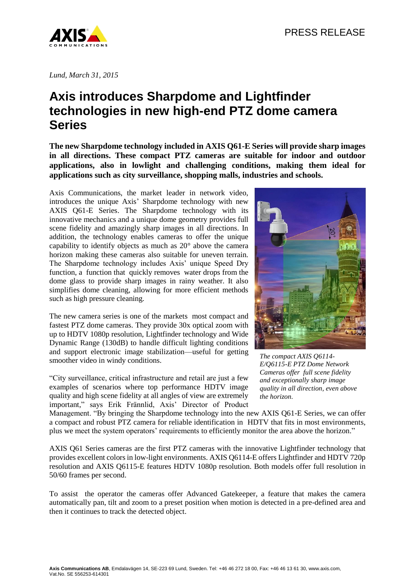

*Lund, March 31, 2015*

## **Axis introduces Sharpdome and Lightfinder technologies in new high-end PTZ dome camera Series**

**The new Sharpdome technology included in AXIS Q61-E Series will provide sharp images in all directions. These compact PTZ cameras are suitable for indoor and outdoor applications, also in lowlight and challenging conditions, making them ideal for applications such as city surveillance, shopping malls, industries and schools.**

Axis Communications, the market leader in network video, introduces the unique Axis' Sharpdome technology with new AXIS Q61-E Series. The Sharpdome technology with its innovative mechanics and a unique dome geometry provides full scene fidelity and amazingly sharp images in all directions. In addition, the technology enables cameras to offer the unique capability to identify objects as much as 20° above the camera horizon making these cameras also suitable for uneven terrain. The Sharpdome technology includes Axis' unique Speed Dry function, a function that quickly removes water drops from the dome glass to provide sharp images in rainy weather. It also simplifies dome cleaning, allowing for more efficient methods such as high pressure cleaning.

The new camera series is one of the markets most compact and fastest PTZ dome cameras. They provide 30x optical zoom with up to HDTV 1080p resolution, Lightfinder technology and Wide Dynamic Range (130dB) to handle difficult lighting conditions and support electronic image stabilization—useful for getting smoother video in windy conditions.

"City surveillance, critical infrastructure and retail are just a few examples of scenarios where top performance HDTV image quality and high scene fidelity at all angles of view are extremely important," says Erik Frännlid, Axis' Director of Product



*The compact AXIS Q6114- E/Q6115-E PTZ Dome Network Cameras offer full scene fidelity and exceptionally sharp image quality in all direction, even above the horizon.*

Management. "By bringing the Sharpdome technology into the new AXIS Q61-E Series, we can offer a compact and robust PTZ camera for reliable identification in HDTV that fits in most environments, plus we meet the system operators' requirements to efficiently monitor the area above the horizon."

AXIS Q61 Series cameras are the first PTZ cameras with the innovative Lightfinder technology that provides excellent colors in low-light environments. AXIS Q6114-E offers Lightfinder and HDTV 720p resolution and AXIS Q6115-E features HDTV 1080p resolution. Both models offer full resolution in 50/60 frames per second.

To assist the operator the cameras offer Advanced Gatekeeper, a feature that makes the camera automatically pan, tilt and zoom to a preset position when motion is detected in a pre-defined area and then it continues to track the detected object.